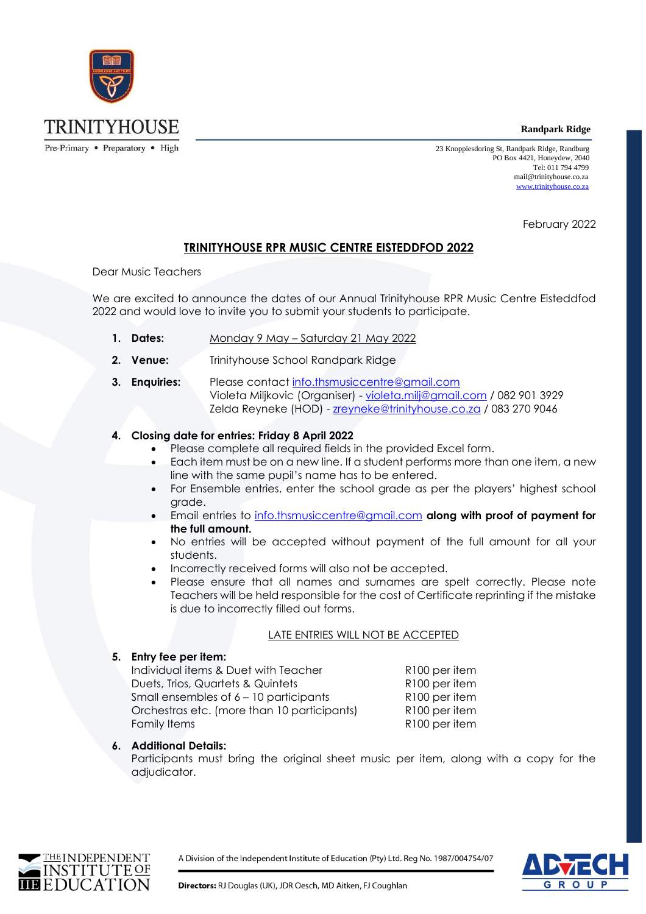**Randpark Ridge** 



 23 Knoppiesdoring St, Randpark Ridge, Randburg PO Box 4421, Honeydew, 2040 Tel: 011 794 4799 mail@trinityhouse.co.za [www.trinityhouse.co.za](http://www.trinityhouse.co.za/)

February 2022

# **TRINITYHOUSE RPR MUSIC CENTRE EISTEDDFOD 2022**

Dear Music Teachers

We are excited to announce the dates of our Annual Trinityhouse RPR Music Centre Eisteddfod 2022 and would love to invite you to submit your students to participate.

- **1. Dates:** Monday 9 May Saturday 21 May 2022
- **2. Venue:** Trinityhouse School Randpark Ridge
- **3. Enquiries:** Please contact [info.thsmusiccentre@gmail.com](mailto:info.thsmusiccentre@gmail.com) Violeta Miljkovic (Organiser) - [violeta.milj@gmail.com](mailto:violeta.milj@gmail.com) / 082 901 3929 Zelda Reyneke (HOD) - [zreyneke@trinityhouse.co.za](mailto:zreyneke@trinityhouse.co.za) / 083 270 9046

## **4. Closing date for entries: Friday 8 April 2022**

- Please complete all required fields in the provided Excel form.
- Each item must be on a new line. If a student performs more than one item, a new line with the same pupil's name has to be entered.
- For Ensemble entries, enter the school grade as per the players' highest school grade.
- Email entries to [info.thsmusiccentre@gmail.com](mailto:info.thsmusiccentre@gmail.com) **along with proof of payment for the full amount.**
- No entries will be accepted without payment of the full amount for all your students.
- Incorrectly received forms will also not be accepted.
- Please ensure that all names and surnames are spelt correctly. Please note Teachers will be held responsible for the cost of Certificate reprinting if the mistake is due to incorrectly filled out forms.

### LATE ENTRIES WILL NOT BE ACCEPTED

### **5. Entry fee per item:**

Individual items & Duet with Teacher R100 per item Duets, Trios, Quartets & Quintets **R100** per item Small ensembles of 6 – 10 participants R100 per item Orchestras etc. (more than 10 participants) R100 per item Family Items **R100** per item

### **6. Additional Details:**

Participants must bring the original sheet music per item, along with a copy for the adjudicator.



A Division of the Independent Institute of Education (Pty) Ltd. Reg No. 1987/004754/07